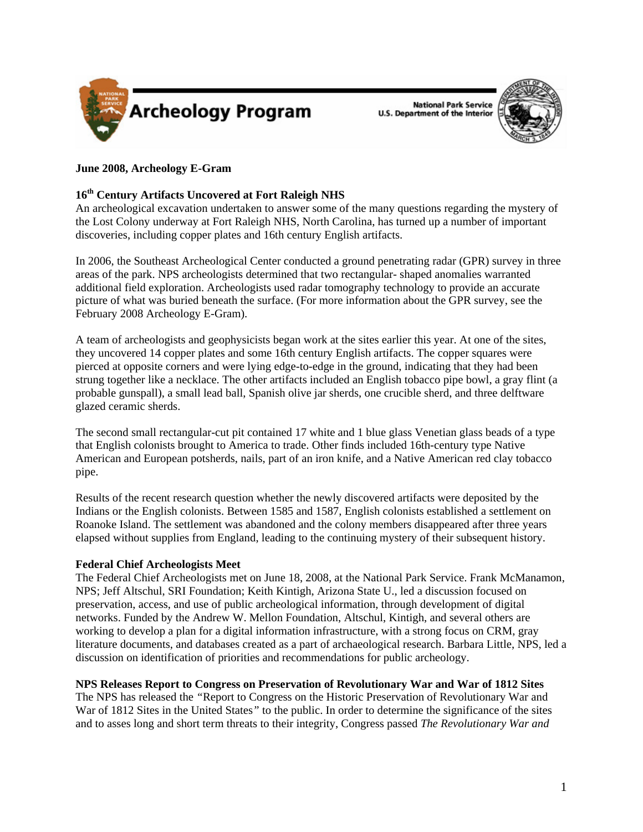

**National Park Service U.S. Department of the Interior** 



# **June 2008, Archeology E-Gram**

# **16th Century Artifacts Uncovered at Fort Raleigh NHS**

An archeological excavation undertaken to answer some of the many questions regarding the mystery of the Lost Colony underway at Fort Raleigh NHS, North Carolina, has turned up a number of important discoveries, including copper plates and 16th century English artifacts.

In 2006, the Southeast Archeological Center conducted a ground penetrating radar (GPR) survey in three areas of the park. NPS archeologists determined that two rectangular- shaped anomalies warranted additional field exploration. Archeologists used radar tomography technology to provide an accurate picture of what was buried beneath the surface. (For more information about the GPR survey, see the February 2008 Archeology E-Gram).

A team of archeologists and geophysicists began work at the sites earlier this year. At one of the sites, they uncovered 14 copper plates and some 16th century English artifacts. The copper squares were pierced at opposite corners and were lying edge-to-edge in the ground, indicating that they had been strung together like a necklace. The other artifacts included an English tobacco pipe bowl, a gray flint (a probable gunspall), a small lead ball, Spanish olive jar sherds, one crucible sherd, and three delftware glazed ceramic sherds.

The second small rectangular-cut pit contained 17 white and 1 blue glass Venetian glass beads of a type that English colonists brought to America to trade. Other finds included 16th-century type Native American and European potsherds, nails, part of an iron knife, and a Native American red clay tobacco pipe.

Results of the recent research question whether the newly discovered artifacts were deposited by the Indians or the English colonists. Between 1585 and 1587, English colonists established a settlement on Roanoke Island. The settlement was abandoned and the colony members disappeared after three years elapsed without supplies from England, leading to the continuing mystery of their subsequent history.

## **Federal Chief Archeologists Meet**

The Federal Chief Archeologists met on June 18, 2008, at the National Park Service. Frank McManamon, NPS; Jeff Altschul, SRI Foundation; Keith Kintigh, Arizona State U., led a discussion focused on preservation, access, and use of public archeological information, through development of digital networks. Funded by the Andrew W. Mellon Foundation, Altschul, Kintigh, and several others are working to develop a plan for a digital information infrastructure, with a strong focus on CRM, gray literature documents, and databases created as a part of archaeological research. Barbara Little, NPS, led a discussion on identification of priorities and recommendations for public archeology.

## **NPS Releases Report to Congress on Preservation of Revolutionary War and War of 1812 Sites**

The NPS has released the *"*Report to Congress on the Historic Preservation of Revolutionary War and War of 1812 Sites in the United States*"* to the public. In order to determine the significance of the sites and to asses long and short term threats to their integrity, Congress passed *The Revolutionary War and*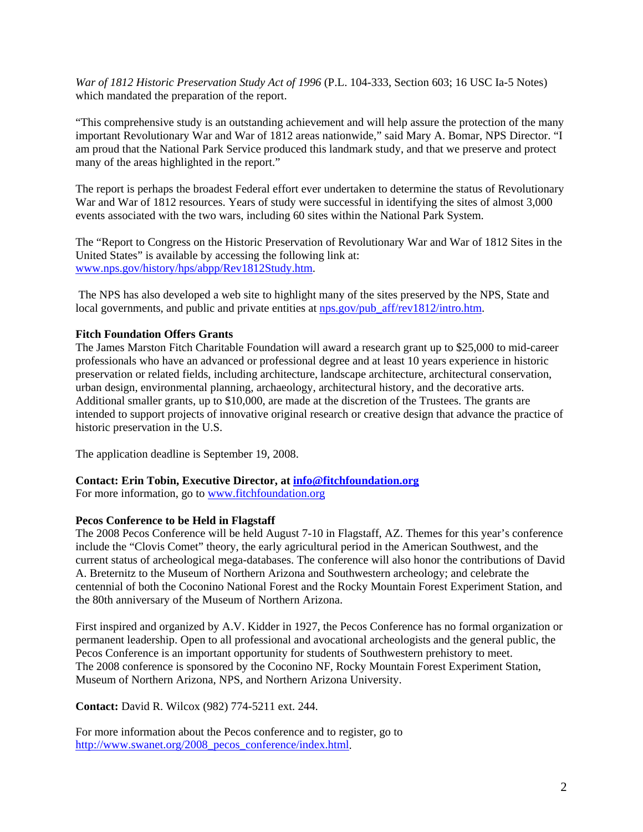*War of 1812 Historic Preservation Study Act of 1996* (P.L. 104-333, Section 603; 16 USC Ia-5 Notes) which mandated the preparation of the report.

"This comprehensive study is an outstanding achievement and will help assure the protection of the many important Revolutionary War and War of 1812 areas nationwide," said Mary A. Bomar, NPS Director. "I am proud that the National Park Service produced this landmark study, and that we preserve and protect many of the areas highlighted in the report."

The report is perhaps the broadest Federal effort ever undertaken to determine the status of Revolutionary War and War of 1812 resources. Years of study were successful in identifying the sites of almost 3,000 events associated with the two wars, including 60 sites within the National Park System.

The "Report to Congress on the Historic Preservation of Revolutionary War and War of 1812 Sites in the United States" is available by accessing the following link at: [www.nps.gov/history/hps/abpp/Rev1812Study.htm.](www.nps.gov/history/hps/abpp/Rev1812Study.htm)

 The NPS has also developed a web site to highlight many of the sites preserved by the NPS, State and local governments, and public and private entities at [nps.gov/pub\\_aff/rev1812/intro.htm.](nps.gov/pub_aff/rev1812/intro.htm)

## **Fitch Foundation Offers Grants**

The James Marston Fitch Charitable Foundation will award a research grant up to \$25,000 to mid-career professionals who have an advanced or professional degree and at least 10 years experience in historic preservation or related fields, including architecture, landscape architecture, architectural conservation, urban design, environmental planning, archaeology, architectural history, and the decorative arts. Additional smaller grants, up to \$10,000, are made at the discretion of the Trustees. The grants are intended to support projects of innovative original research or creative design that advance the practice of historic preservation in the U.S.

The application deadline is September 19, 2008.

**Contact: Erin Tobin, Executive Director, at [info@fitchfoundation.org](mailto:info@fitchfoundation.org)**

For more information, go to <www.fitchfoundation.org>

## **Pecos Conference to be Held in Flagstaff**

The 2008 Pecos Conference will be held August 7-10 in Flagstaff, AZ. Themes for this year's conference include the "Clovis Comet" theory, the early agricultural period in the American Southwest, and the current status of archeological mega-databases. The conference will also honor the contributions of David A. Breternitz to the Museum of Northern Arizona and Southwestern archeology; and celebrate the centennial of both the Coconino National Forest and the Rocky Mountain Forest Experiment Station, and the 80th anniversary of the Museum of Northern Arizona.

First inspired and organized by A.V. Kidder in 1927, the Pecos Conference has no formal organization or permanent leadership. Open to all professional and avocational archeologists and the general public, the Pecos Conference is an important opportunity for students of Southwestern prehistory to meet. The 2008 conference is sponsored by the Coconino NF, Rocky Mountain Forest Experiment Station, Museum of Northern Arizona, NPS, and Northern Arizona University.

**Contact:** David R. Wilcox (982) 774-5211 ext. 244.

For more information about the Pecos conference and to register, go to [http://www.swanet.org/2008\\_pecos\\_conference/index.html](http://www.swanet.org/2008_pecos_conference/index.html).